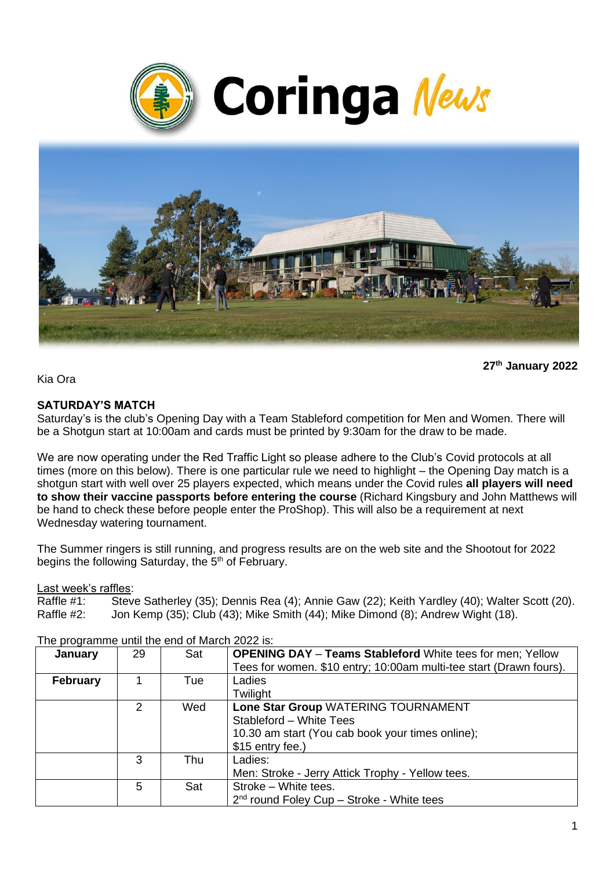



**27 th January 2022**

Kia Ora

# **SATURDAY'S MATCH**

Saturday's is the club's Opening Day with a Team Stableford competition for Men and Women. There will be a Shotgun start at 10:00am and cards must be printed by 9:30am for the draw to be made.

We are now operating under the Red Traffic Light so please adhere to the Club's Covid protocols at all times (more on this below). There is one particular rule we need to highlight – the Opening Day match is a shotgun start with well over 25 players expected, which means under the Covid rules **all players will need to show their vaccine passports before entering the course** (Richard Kingsbury and John Matthews will be hand to check these before people enter the ProShop). This will also be a requirement at next Wednesday watering tournament.

The Summer ringers is still running, and progress results are on the web site and the Shootout for 2022 begins the following Saturday, the 5<sup>th</sup> of February.

Last week's raffles:

Raffle #1: Steve Satherley (35); Dennis Rea (4); Annie Gaw (22); Keith Yardley (40); Walter Scott (20). Raffle #2: Jon Kemp (35); Club (43); Mike Smith (44); Mike Dimond (8); Andrew Wight (18).

| January         | 29 | Sat | <b>OPENING DAY - Teams Stableford White tees for men; Yellow</b>   |
|-----------------|----|-----|--------------------------------------------------------------------|
|                 |    |     | Tees for women. \$10 entry; 10:00am multi-tee start (Drawn fours). |
| <b>February</b> |    | Tue | Ladies                                                             |
|                 |    |     | Twilight                                                           |
|                 | 2  | Wed | Lone Star Group WATERING TOURNAMENT                                |
|                 |    |     | Stableford - White Tees                                            |
|                 |    |     | 10.30 am start (You cab book your times online);                   |
|                 |    |     | \$15 entry fee.)                                                   |
|                 | 3  | Thu | Ladies:                                                            |
|                 |    |     | Men: Stroke - Jerry Attick Trophy - Yellow tees.                   |
|                 | 5  | Sat | Stroke - White tees.                                               |
|                 |    |     | $2nd$ round Foley Cup – Stroke - White tees                        |

The programme until the end of March 2022 is: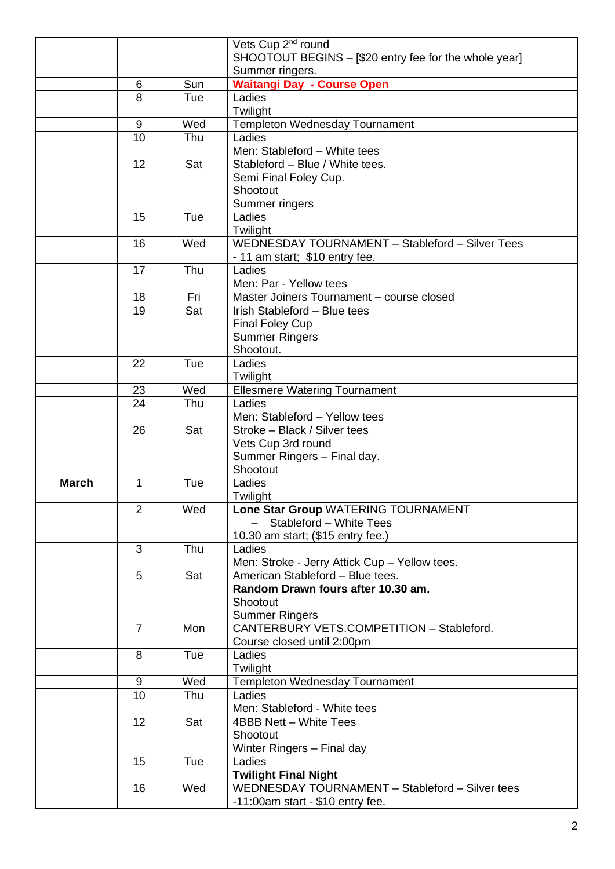|              |                  |     | Vets Cup 2 <sup>nd</sup> round                        |  |
|--------------|------------------|-----|-------------------------------------------------------|--|
|              |                  |     | SHOOTOUT BEGINS - [\$20 entry fee for the whole year] |  |
|              |                  |     | Summer ringers.                                       |  |
|              | 6                | Sun | <b>Waitangi Day - Course Open</b>                     |  |
|              | 8                | Tue | Ladies                                                |  |
|              |                  |     | Twilight                                              |  |
|              | 9                | Wed | <b>Templeton Wednesday Tournament</b>                 |  |
|              | 10               | Thu | Ladies                                                |  |
|              |                  |     | Men: Stableford - White tees                          |  |
|              | 12               | Sat | Stableford - Blue / White tees.                       |  |
|              |                  |     | Semi Final Foley Cup.                                 |  |
|              |                  |     | Shootout                                              |  |
|              |                  |     | Summer ringers                                        |  |
|              | 15               | Tue | Ladies                                                |  |
|              |                  |     | Twilight                                              |  |
|              | 16               | Wed | WEDNESDAY TOURNAMENT - Stableford - Silver Tees       |  |
|              |                  |     | - 11 am start; \$10 entry fee.                        |  |
|              | 17               | Thu | Ladies                                                |  |
|              |                  |     | Men: Par - Yellow tees                                |  |
|              |                  |     |                                                       |  |
|              | 18               | Fri | Master Joiners Tournament - course closed             |  |
|              | 19               | Sat | Irish Stableford - Blue tees                          |  |
|              |                  |     | <b>Final Foley Cup</b>                                |  |
|              |                  |     | <b>Summer Ringers</b>                                 |  |
|              |                  |     | Shootout.                                             |  |
|              | 22               | Tue | Ladies                                                |  |
|              |                  |     | Twilight                                              |  |
|              | 23               | Wed | <b>Ellesmere Watering Tournament</b>                  |  |
|              | 24               | Thu | Ladies                                                |  |
|              |                  |     | Men: Stableford - Yellow tees                         |  |
|              | 26               | Sat | Stroke - Black / Silver tees                          |  |
|              |                  |     | Vets Cup 3rd round                                    |  |
|              |                  |     | Summer Ringers - Final day.                           |  |
|              |                  |     | Shootout                                              |  |
| <b>March</b> | 1                | Tue | Ladies                                                |  |
|              |                  |     | Twilight                                              |  |
|              | $\overline{2}$   | Wed | Lone Star Group WATERING TOURNAMENT                   |  |
|              |                  |     | Stableford - White Tees                               |  |
|              |                  |     | 10.30 am start; (\$15 entry fee.)                     |  |
|              | 3                | Thu | Ladies                                                |  |
|              |                  |     | Men: Stroke - Jerry Attick Cup - Yellow tees.         |  |
|              | 5                | Sat | American Stableford - Blue tees.                      |  |
|              |                  |     | Random Drawn fours after 10.30 am.                    |  |
|              |                  |     | Shootout                                              |  |
|              |                  |     | <b>Summer Ringers</b>                                 |  |
|              | $\overline{7}$   | Mon | CANTERBURY VETS.COMPETITION - Stableford.             |  |
|              |                  |     | Course closed until 2:00pm                            |  |
|              | 8                | Tue | Ladies                                                |  |
|              |                  |     | Twilight                                              |  |
|              | $\boldsymbol{9}$ | Wed | Templeton Wednesday Tournament                        |  |
|              | 10               | Thu | Ladies                                                |  |
|              |                  |     | Men: Stableford - White tees                          |  |
|              | 12               | Sat | 4BBB Nett - White Tees                                |  |
|              |                  |     | Shootout                                              |  |
|              |                  |     | Winter Ringers - Final day                            |  |
|              | 15               | Tue | Ladies                                                |  |
|              |                  |     | <b>Twilight Final Night</b>                           |  |
|              | 16               | Wed | WEDNESDAY TOURNAMENT - Stableford - Silver tees       |  |
|              |                  |     | -11:00am start - \$10 entry fee.                      |  |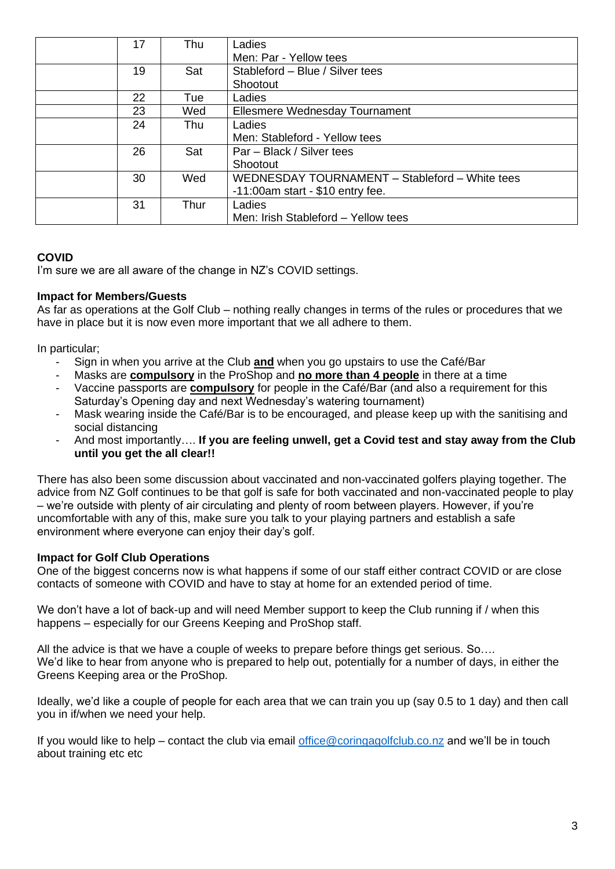| 17 | Thu  | Ladies                                         |
|----|------|------------------------------------------------|
|    |      | Men: Par - Yellow tees                         |
| 19 | Sat  | Stableford - Blue / Silver tees                |
|    |      | Shootout                                       |
| 22 | Tue  | Ladies                                         |
| 23 | Wed  | Ellesmere Wednesday Tournament                 |
| 24 | Thu  | Ladies                                         |
|    |      | Men: Stableford - Yellow tees                  |
| 26 | Sat  | Par – Black / Silver tees                      |
|    |      | Shootout                                       |
| 30 | Wed  | WEDNESDAY TOURNAMENT - Stableford - White tees |
|    |      | $-11:00$ am start - \$10 entry fee.            |
| 31 | Thur | Ladies                                         |
|    |      | Men: Irish Stableford - Yellow tees            |

# **COVID**

I'm sure we are all aware of the change in NZ's COVID settings.

#### **Impact for Members/Guests**

As far as operations at the Golf Club – nothing really changes in terms of the rules or procedures that we have in place but it is now even more important that we all adhere to them.

In particular;

- Sign in when you arrive at the Club **and** when you go upstairs to use the Café/Bar
- Masks are **compulsory** in the ProShop and **no more than 4 people** in there at a time
- Vaccine passports are **compulsory** for people in the Café/Bar (and also a requirement for this Saturday's Opening day and next Wednesday's watering tournament)
- Mask wearing inside the Café/Bar is to be encouraged, and please keep up with the sanitising and social distancing
- And most importantly…. **If you are feeling unwell, get a Covid test and stay away from the Club until you get the all clear!!**

There has also been some discussion about vaccinated and non-vaccinated golfers playing together. The advice from NZ Golf continues to be that golf is safe for both vaccinated and non-vaccinated people to play – we're outside with plenty of air circulating and plenty of room between players. However, if you're uncomfortable with any of this, make sure you talk to your playing partners and establish a safe environment where everyone can enjoy their day's golf.

# **Impact for Golf Club Operations**

One of the biggest concerns now is what happens if some of our staff either contract COVID or are close contacts of someone with COVID and have to stay at home for an extended period of time.

We don't have a lot of back-up and will need Member support to keep the Club running if / when this happens – especially for our Greens Keeping and ProShop staff.

All the advice is that we have a couple of weeks to prepare before things get serious. So…. We'd like to hear from anyone who is prepared to help out, potentially for a number of days, in either the Greens Keeping area or the ProShop.

Ideally, we'd like a couple of people for each area that we can train you up (say 0.5 to 1 day) and then call you in if/when we need your help.

If you would like to help – contact the club via email [office@coringagolfclub.co.nz](mailto:office@coringagolfclub.co.nz) and we'll be in touch about training etc etc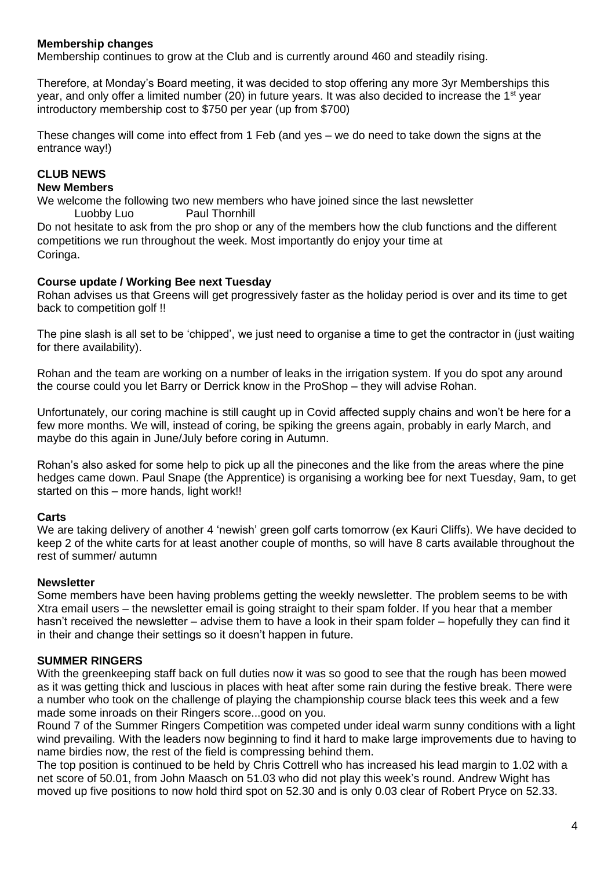#### **Membership changes**

Membership continues to grow at the Club and is currently around 460 and steadily rising.

Therefore, at Monday's Board meeting, it was decided to stop offering any more 3yr Memberships this year, and only offer a limited number (20) in future years. It was also decided to increase the 1<sup>st</sup> year introductory membership cost to \$750 per year (up from \$700)

These changes will come into effect from 1 Feb (and yes – we do need to take down the signs at the entrance way!)

# **CLUB NEWS**

#### **New Members**

We welcome the following two new members who have joined since the last newsletter Luobby Luo Paul Thornhill

Do not hesitate to ask from the pro shop or any of the members how the club functions and the different competitions we run throughout the week. Most importantly do enjoy your time at Coringa.

#### **Course update / Working Bee next Tuesday**

Rohan advises us that Greens will get progressively faster as the holiday period is over and its time to get back to competition golf !!

The pine slash is all set to be 'chipped', we just need to organise a time to get the contractor in (just waiting for there availability).

Rohan and the team are working on a number of leaks in the irrigation system. If you do spot any around the course could you let Barry or Derrick know in the ProShop – they will advise Rohan.

Unfortunately, our coring machine is still caught up in Covid affected supply chains and won't be here for a few more months. We will, instead of coring, be spiking the greens again, probably in early March, and maybe do this again in June/July before coring in Autumn.

Rohan's also asked for some help to pick up all the pinecones and the like from the areas where the pine hedges came down. Paul Snape (the Apprentice) is organising a working bee for next Tuesday, 9am, to get started on this – more hands, light work!!

#### **Carts**

We are taking delivery of another 4 'newish' green golf carts tomorrow (ex Kauri Cliffs). We have decided to keep 2 of the white carts for at least another couple of months, so will have 8 carts available throughout the rest of summer/ autumn

#### **Newsletter**

Some members have been having problems getting the weekly newsletter. The problem seems to be with Xtra email users – the newsletter email is going straight to their spam folder. If you hear that a member hasn't received the newsletter – advise them to have a look in their spam folder – hopefully they can find it in their and change their settings so it doesn't happen in future.

#### **SUMMER RINGERS**

With the greenkeeping staff back on full duties now it was so good to see that the rough has been mowed as it was getting thick and luscious in places with heat after some rain during the festive break. There were a number who took on the challenge of playing the championship course black tees this week and a few made some inroads on their Ringers score...good on you.

Round 7 of the Summer Ringers Competition was competed under ideal warm sunny conditions with a light wind prevailing. With the leaders now beginning to find it hard to make large improvements due to having to name birdies now, the rest of the field is compressing behind them.

The top position is continued to be held by Chris Cottrell who has increased his lead margin to 1.02 with a net score of 50.01, from John Maasch on 51.03 who did not play this week's round. Andrew Wight has moved up five positions to now hold third spot on 52.30 and is only 0.03 clear of Robert Pryce on 52.33.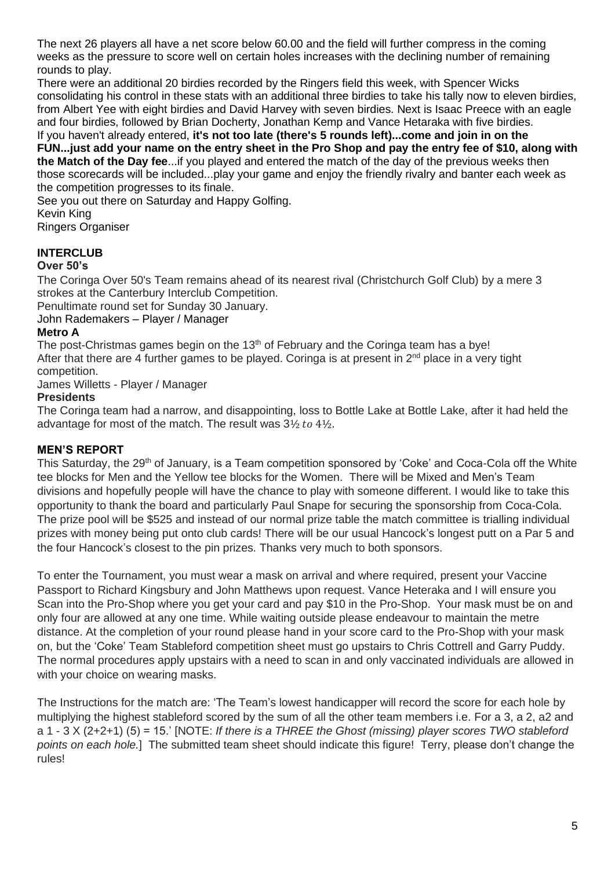The next 26 players all have a net score below 60.00 and the field will further compress in the coming weeks as the pressure to score well on certain holes increases with the declining number of remaining rounds to play.

There were an additional 20 birdies recorded by the Ringers field this week, with Spencer Wicks consolidating his control in these stats with an additional three birdies to take his tally now to eleven birdies, from Albert Yee with eight birdies and David Harvey with seven birdies. Next is Isaac Preece with an eagle and four birdies, followed by Brian Docherty, Jonathan Kemp and Vance Hetaraka with five birdies. If you haven't already entered, **it's not too late (there's 5 rounds left)...come and join in on the** 

**FUN...just add your name on the entry sheet in the Pro Shop and pay the entry fee of \$10, along with the Match of the Day fee**...if you played and entered the match of the day of the previous weeks then those scorecards will be included...play your game and enjoy the friendly rivalry and banter each week as the competition progresses to its finale.

See you out there on Saturday and Happy Golfing.

Kevin King Ringers Organiser

# **INTERCLUB**

# **Over 50's**

The Coringa Over 50's Team remains ahead of its nearest rival (Christchurch Golf Club) by a mere 3 strokes at the Canterbury Interclub Competition.

Penultimate round set for Sunday 30 January.

John Rademakers – Player / Manager

# **Metro A**

The post-Christmas games begin on the  $13<sup>th</sup>$  of February and the Coringa team has a bye! After that there are 4 further games to be played. Coringa is at present in  $2^{nd}$  place in a very tight competition.

James Willetts - Player / Manager

# **Presidents**

The Coringa team had a narrow, and disappointing, loss to Bottle Lake at Bottle Lake, after it had held the advantage for most of the match. The result was  $3\frac{1}{2}$  to  $4\frac{1}{2}$ .

# **MEN'S REPORT**

This Saturday, the 29<sup>th</sup> of January, is a Team competition sponsored by 'Coke' and Coca-Cola off the White tee blocks for Men and the Yellow tee blocks for the Women. There will be Mixed and Men's Team divisions and hopefully people will have the chance to play with someone different. I would like to take this opportunity to thank the board and particularly Paul Snape for securing the sponsorship from Coca-Cola. The prize pool will be \$525 and instead of our normal prize table the match committee is trialling individual prizes with money being put onto club cards! There will be our usual Hancock's longest putt on a Par 5 and the four Hancock's closest to the pin prizes. Thanks very much to both sponsors.

To enter the Tournament, you must wear a mask on arrival and where required, present your Vaccine Passport to Richard Kingsbury and John Matthews upon request. Vance Heteraka and I will ensure you Scan into the Pro-Shop where you get your card and pay \$10 in the Pro-Shop. Your mask must be on and only four are allowed at any one time. While waiting outside please endeavour to maintain the metre distance. At the completion of your round please hand in your score card to the Pro-Shop with your mask on, but the 'Coke' Team Stableford competition sheet must go upstairs to Chris Cottrell and Garry Puddy. The normal procedures apply upstairs with a need to scan in and only vaccinated individuals are allowed in with your choice on wearing masks.

The Instructions for the match are: 'The Team's lowest handicapper will record the score for each hole by multiplying the highest stableford scored by the sum of all the other team members i.e. For a 3, a 2, a2 and a 1 - 3 X (2+2+1) (5) = 15.' [NOTE: *If there is a THREE the Ghost (missing) player scores TWO stableford points on each hole.*] The submitted team sheet should indicate this figure! Terry, please don't change the rules!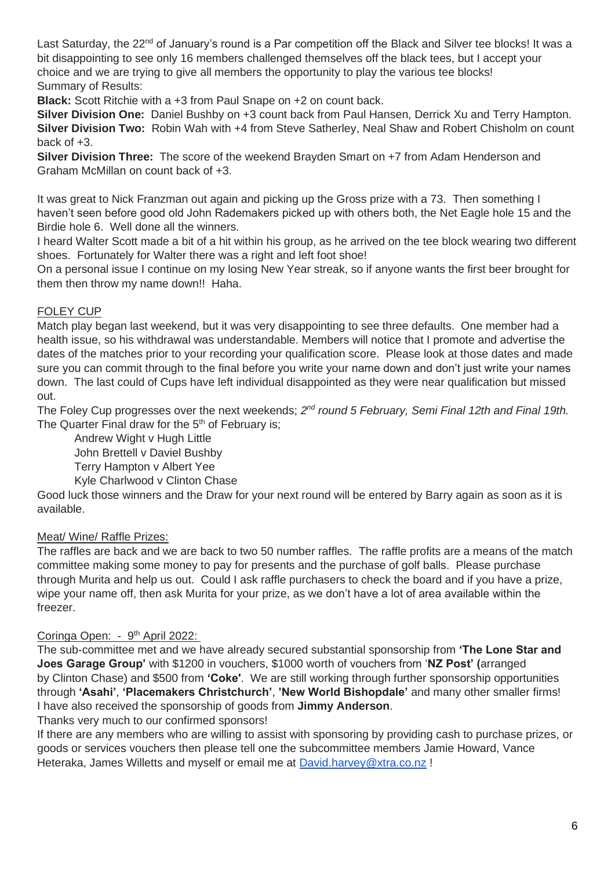Last Saturday, the 22<sup>nd</sup> of January's round is a Par competition off the Black and Silver tee blocks! It was a bit disappointing to see only 16 members challenged themselves off the black tees, but I accept your choice and we are trying to give all members the opportunity to play the various tee blocks! Summary of Results:

**Black:** Scott Ritchie with a +3 from Paul Snape on +2 on count back.

**Silver Division One:** Daniel Bushby on +3 count back from Paul Hansen, Derrick Xu and Terry Hampton. **Silver Division Two:** Robin Wah with +4 from Steve Satherley, Neal Shaw and Robert Chisholm on count back of  $+3$ .

**Silver Division Three:** The score of the weekend Brayden Smart on +7 from Adam Henderson and Graham McMillan on count back of +3.

It was great to Nick Franzman out again and picking up the Gross prize with a 73. Then something I haven't seen before good old John Rademakers picked up with others both, the Net Eagle hole 15 and the Birdie hole 6. Well done all the winners.

I heard Walter Scott made a bit of a hit within his group, as he arrived on the tee block wearing two different shoes. Fortunately for Walter there was a right and left foot shoe!

On a personal issue I continue on my losing New Year streak, so if anyone wants the first beer brought for them then throw my name down!! Haha.

# FOLEY CUP

Match play began last weekend, but it was very disappointing to see three defaults. One member had a health issue, so his withdrawal was understandable. Members will notice that I promote and advertise the dates of the matches prior to your recording your qualification score. Please look at those dates and made sure you can commit through to the final before you write your name down and don't just write your names down. The last could of Cups have left individual disappointed as they were near qualification but missed out.

The Foley Cup progresses over the next weekends; 2<sup>nd</sup> round 5 February, Semi Final 12th and Final 19th. The Quarter Final draw for the  $5<sup>th</sup>$  of February is;

Andrew Wight v Hugh Little John Brettell v Daviel Bushby Terry Hampton v Albert Yee Kyle Charlwood v Clinton Chase

Good luck those winners and the Draw for your next round will be entered by Barry again as soon as it is available.

# Meat/ Wine/ Raffle Prizes:

The raffles are back and we are back to two 50 number raffles. The raffle profits are a means of the match committee making some money to pay for presents and the purchase of golf balls. Please purchase through Murita and help us out. Could I ask raffle purchasers to check the board and if you have a prize, wipe your name off, then ask Murita for your prize, as we don't have a lot of area available within the freezer.

# Coringa Open: - 9<sup>th</sup> April 2022:

The sub-committee met and we have already secured substantial sponsorship from **'The Lone Star and Joes Garage Group'** with \$1200 in vouchers, \$1000 worth of vouchers from '**NZ Post' (**arranged by Clinton Chase) and \$500 from **'Coke'**. We are still working through further sponsorship opportunities through **'Asahi'**, **'Placemakers Christchurch'**, **'New World Bishopdale'** and many other smaller firms! I have also received the sponsorship of goods from **Jimmy Anderson**.

Thanks very much to our confirmed sponsors!

If there are any members who are willing to assist with sponsoring by providing cash to purchase prizes, or goods or services vouchers then please tell one the subcommittee members Jamie Howard, Vance Heteraka, James Willetts and myself or email me at [David.harvey@xtra.co.nz](mailto:David.harvey@xtra.co.nz) !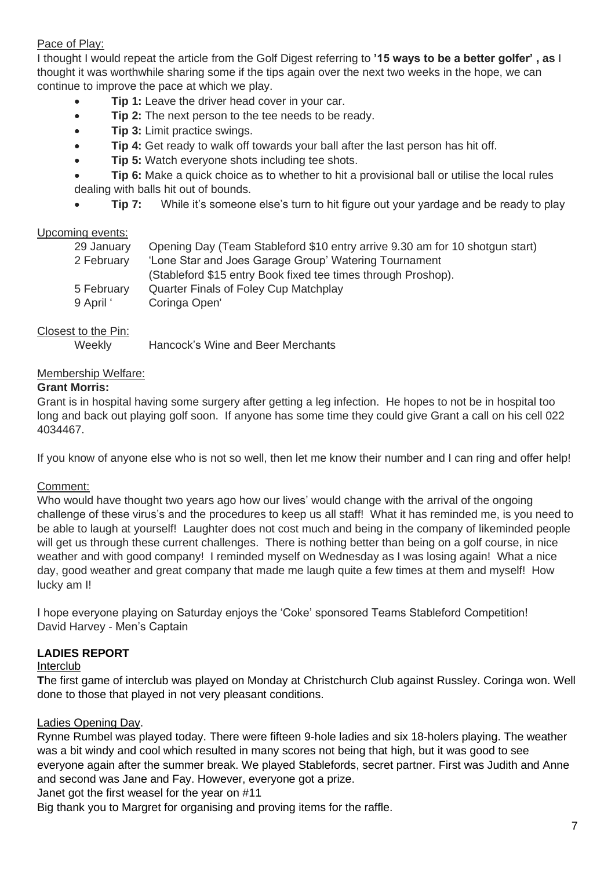# Pace of Play:

I thought I would repeat the article from the Golf Digest referring to **'15 ways to be a better golfer' , as** I thought it was worthwhile sharing some if the tips again over the next two weeks in the hope, we can continue to improve the pace at which we play.

- **Tip 1:** Leave the driver head cover in your car.
- **Tip 2:** The next person to the tee needs to be ready.
- **Tip 3:** Limit practice swings.
- **Tip 4:** Get ready to walk off towards your ball after the last person has hit off.
- **Tip 5:** Watch everyone shots including tee shots.
- **Tip 6:** Make a quick choice as to whether to hit a provisional ball or utilise the local rules dealing with balls hit out of bounds.
- **Tip 7:** While it's someone else's turn to hit figure out your yardage and be ready to play

# Upcoming events:

| 29 January | Opening Day (Team Stableford \$10 entry arrive 9.30 am for 10 shotgun start) |
|------------|------------------------------------------------------------------------------|
| 2 February | 'Lone Star and Joes Garage Group' Watering Tournament                        |
|            | (Stableford \$15 entry Book fixed tee times through Proshop).                |
| 5 February | Quarter Finals of Foley Cup Matchplay                                        |
| 9 April '  | Coringa Open'                                                                |
|            |                                                                              |

# Closest to the Pin:

| Weekly | Hancock's Wine and Beer Merchants |  |  |
|--------|-----------------------------------|--|--|
|        |                                   |  |  |

#### Membership Welfare:

#### **Grant Morris:**

Grant is in hospital having some surgery after getting a leg infection. He hopes to not be in hospital too long and back out playing golf soon. If anyone has some time they could give Grant a call on his cell 022 4034467.

If you know of anyone else who is not so well, then let me know their number and I can ring and offer help!

# Comment:

Who would have thought two years ago how our lives' would change with the arrival of the ongoing challenge of these virus's and the procedures to keep us all staff! What it has reminded me, is you need to be able to laugh at yourself! Laughter does not cost much and being in the company of likeminded people will get us through these current challenges. There is nothing better than being on a golf course, in nice weather and with good company! I reminded myself on Wednesday as I was losing again! What a nice day, good weather and great company that made me laugh quite a few times at them and myself! How lucky am I!

I hope everyone playing on Saturday enjoys the 'Coke' sponsored Teams Stableford Competition! David Harvey - Men's Captain

# **LADIES REPORT**

#### Interclub

**T**he first game of interclub was played on Monday at Christchurch Club against Russley. Coringa won. Well done to those that played in not very pleasant conditions.

# Ladies Opening Day.

Rynne Rumbel was played today. There were fifteen 9-hole ladies and six 18-holers playing. The weather was a bit windy and cool which resulted in many scores not being that high, but it was good to see everyone again after the summer break. We played Stablefords, secret partner. First was Judith and Anne and second was Jane and Fay. However, everyone got a prize.

Janet got the first weasel for the year on #11

Big thank you to Margret for organising and proving items for the raffle.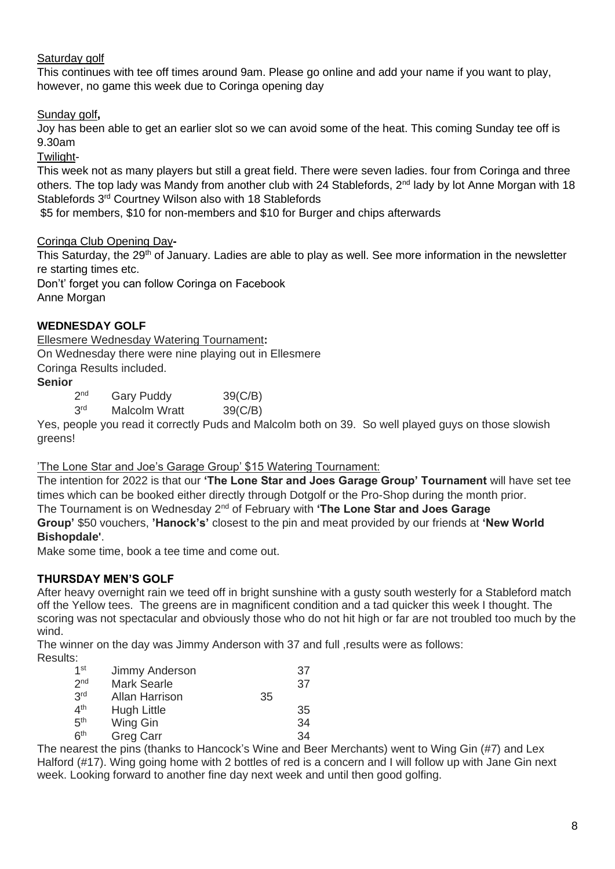# Saturday golf

This continues with tee off times around 9am. Please go online and add your name if you want to play, however, no game this week due to Coringa opening day

Sunday golf**,**

Joy has been able to get an earlier slot so we can avoid some of the heat. This coming Sunday tee off is 9.30am

Twilight-

This week not as many players but still a great field. There were seven ladies. four from Coringa and three others. The top lady was Mandy from another club with 24 Stablefords, 2<sup>nd</sup> lady by lot Anne Morgan with 18 Stablefords 3<sup>rd</sup> Courtney Wilson also with 18 Stablefords

\$5 for members, \$10 for non-members and \$10 for Burger and chips afterwards

#### Coringa Club Opening Day**-**

This Saturday, the 29<sup>th</sup> of January. Ladies are able to play as well. See more information in the newsletter re starting times etc.

Don't' forget you can follow Coringa on Facebook

Anne Morgan

# **WEDNESDAY GOLF**

Ellesmere Wednesday Watering Tournament**:** On Wednesday there were nine playing out in Ellesmere Coringa Results included.

# **Senior**

 $2<sub>nd</sub>$ Gary Puddy 39(C/B) **3rd** Malcolm Wratt 39(C/B)

Yes, people you read it correctly Puds and Malcolm both on 39. So well played guys on those slowish greens!

#### 'The Lone Star and Joe's Garage Group' \$15 Watering Tournament:

The intention for 2022 is that our **'The Lone Star and Joes Garage Group' Tournament** will have set tee times which can be booked either directly through Dotgolf or the Pro-Shop during the month prior. The Tournament is on Wednesday 2nd of February with **'The Lone Star and Joes Garage Group'** \$50 vouchers, **'Hanock's'** closest to the pin and meat provided by our friends at **'New World** 

# **Bishopdale'**.

Make some time, book a tee time and come out.

# **THURSDAY MEN'S GOLF**

After heavy overnight rain we teed off in bright sunshine with a gusty south westerly for a Stableford match off the Yellow tees. The greens are in magnificent condition and a tad quicker this week I thought. The scoring was not spectacular and obviously those who do not hit high or far are not troubled too much by the wind.

The winner on the day was Jimmy Anderson with 37 and full , results were as follows: Results:

| 5.              |                       |    |    |
|-----------------|-----------------------|----|----|
| 1 <sub>st</sub> | Jimmy Anderson        |    | 37 |
| 2 <sub>nd</sub> | <b>Mark Searle</b>    |    | 37 |
| 3 <sup>rd</sup> | <b>Allan Harrison</b> | 35 |    |
| 4 <sup>th</sup> | <b>Hugh Little</b>    |    | 35 |
| 5 <sup>th</sup> | Wing Gin              |    | 34 |
| 6 <sup>th</sup> | <b>Greg Carr</b>      |    | 34 |
|                 |                       |    |    |

The nearest the pins (thanks to Hancock's Wine and Beer Merchants) went to Wing Gin (#7) and Lex Halford (#17). Wing going home with 2 bottles of red is a concern and I will follow up with Jane Gin next week. Looking forward to another fine day next week and until then good golfing.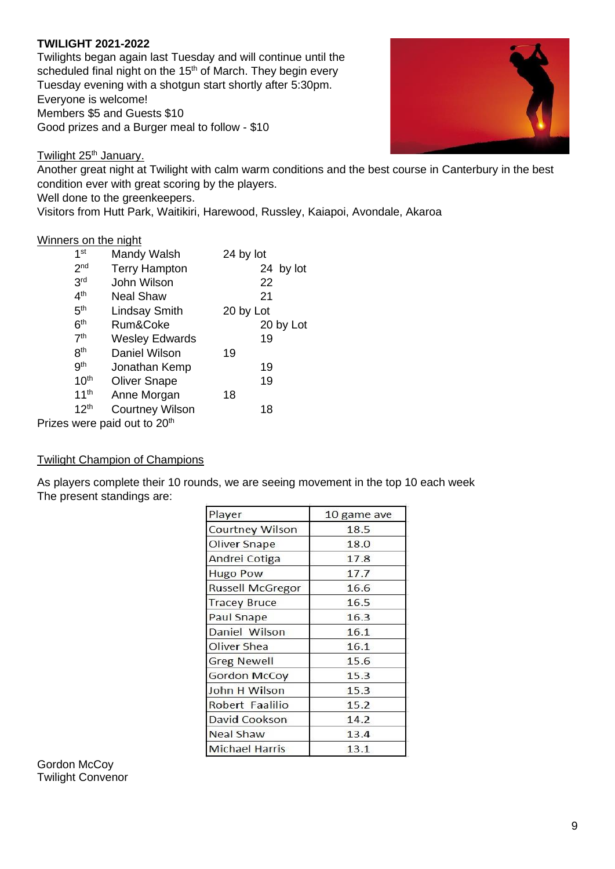#### **TWILIGHT 2021-2022**

Twilights began again last Tuesday and will continue until the scheduled final night on the 15<sup>th</sup> of March. They begin every Tuesday evening with a shotgun start shortly after 5:30pm. Everyone is welcome! Members \$5 and Guests \$10 Good prizes and a Burger meal to follow - \$10



Twilight 25<sup>th</sup> January.

Another great night at Twilight with calm warm conditions and the best course in Canterbury in the best condition ever with great scoring by the players.

Well done to the greenkeepers.

Visitors from Hutt Park, Waitikiri, Harewood, Russley, Kaiapoi, Avondale, Akaroa

#### Winners on the night

| 1 <sup>st</sup>  | Mandy Walsh            | 24 by lot |
|------------------|------------------------|-----------|
| 2 <sub>nd</sub>  | <b>Terry Hampton</b>   | 24 by lot |
| 3 <sup>rd</sup>  | John Wilson            | 22        |
| 4 <sup>th</sup>  | <b>Neal Shaw</b>       | 21        |
| 5 <sup>th</sup>  | <b>Lindsay Smith</b>   | 20 by Lot |
| 6 <sup>th</sup>  | Rum&Coke               | 20 by Lot |
| 7 <sup>th</sup>  | <b>Wesley Edwards</b>  | 19        |
| 8 <sup>th</sup>  | Daniel Wilson          | 19        |
| 9 <sup>th</sup>  | Jonathan Kemp          | 19        |
| 10 <sup>th</sup> | <b>Oliver Snape</b>    | 19        |
| 11 <sup>th</sup> | Anne Morgan            | 18        |
| 12 <sup>th</sup> | <b>Courtney Wilson</b> | 18        |
|                  | wara poid aut to 20th  |           |

Prizes were paid out to 20th

#### Twilight Champion of Champions

As players complete their 10 rounds, we are seeing movement in the top 10 each week The present standings are:

| Player                  | 10 game ave |
|-------------------------|-------------|
| <b>Courtney Wilson</b>  | 18.5        |
| Oliver Snape            | 18.0        |
| Andrei Cotiga           | 17.8        |
| <b>Hugo Pow</b>         | 17.7        |
| <b>Russell McGregor</b> | 16.6        |
| <b>Tracey Bruce</b>     | 16.5        |
| <b>Paul Snape</b>       | 16.3        |
| Daniel Wilson           | 16.1        |
| Oliver Shea             | 16.1        |
| <b>Greg Newell</b>      | 15.6        |
| <b>Gordon McCoy</b>     | 15.3        |
| John H Wilson           | 15.3        |
| Robert Faalilio         | 15.2        |
| David Cookson           | 14.2        |
| <b>Neal Shaw</b>        | 13.4        |
| <b>Michael Harris</b>   | 13.1        |

Gordon McCov Twilight Convenor